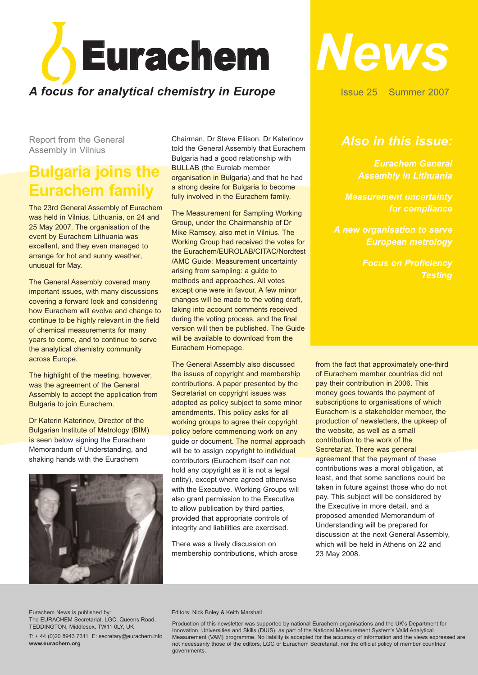

Report from the General Assembly in Vilnius

## **Bulgaria joins the Eurachem family**

The 23rd General Assembly of Eurachem was held in Vilnius, Lithuania, on 24 and 25 May 2007. The organisation of the event by Eurachem Lithuania was excellent, and they even managed to arrange for hot and sunny weather, unusual for May.

The General Assembly covered many important issues, with many discussions covering a forward look and considering how Eurachem will evolve and change to continue to be highly relevant in the field of chemical measurements for many years to come, and to continue to serve the analytical chemistry community across Europe.

The highlight of the meeting, however, was the agreement of the General Assembly to accept the application from Bulgaria to join Eurachem.

Dr Katerin Katerinov, Director of the Bulgarian Institute of Metrology (BIM) is seen below signing the Eurachem Memorandum of Understanding, and shaking hands with the Eurachem



Chairman, Dr Steve Ellison. Dr Katerinov told the General Assembly that Eurachem Bulgaria had a good relationship with **BULLAB** (the Eurolab member organisation in Bulgaria) and that he had a strong desire for Bulgaria to become fully involved in the Eurachem family.

The Measurement for Sampling Working Group, under the Chairmanship of Dr Mike Ramsey, also met in Vilnius. The Working Group had received the votes for the Eurachem/EUROLAB/CITAC/Nordtest /AMC Guide: Measurement uncertainty arising from sampling: a guide to methods and approaches. All votes except one were in favour. A few minor changes will be made to the voting draft, taking into account comments received during the voting process, and the final version will then be published. The Guide will be available to download from the Eurachem Homepage.

The General Assembly also discussed the issues of copyright and membership contributions. A paper presented by the Secretariat on copyright issues was adopted as policy subject to some minor amendments. This policy asks for all working groups to agree their copyright policy before commencing work on any quide or document. The normal approach will be to assign copyright to individual contributors (Eurachem itself can not hold any copyright as it is not a legal entity), except where agreed otherwise with the Executive. Working Groups will also grant permission to the Executive to allow publication by third parties, provided that appropriate controls of integrity and liabilities are exercised.

There was a lively discussion on membership contributions, which arose



Issue 25 Summer 2007

### *Also in this issue:*

*Eurachem General Assembly in Lithuania*

*for compliance*

*A new organisation to serve European metrology*

*Focus on Proficiency*

from the fact that approximately one-third of Eurachem member countries did not pay their contribution in 2006. This money goes towards the payment of subscriptions to organisations of which Eurachem is a stakeholder member, the production of newsletters, the upkeep of the website, as well as a small contribution to the work of the Secretariat. There was general agreement that the payment of these contributions was a moral obligation, at least, and that some sanctions could be taken in future against those who do not pay. This subject will be considered by the Executive in more detail, and a proposed amended Memorandum of Understanding will be prepared for discussion at the next General Assembly, which will be held in Athens on 22 and 23 May 2008.

Eurachem News is published by: The EURACHEM Secretariat, LGC, Queens Road, TEDDINGTON, Middlesex, TW11 0LY, UK

T: + 44 (0)20 8943 7311 E: secretary@eurachem.info **www.eurachem.org**

#### Editors: Nick Boley & Keith Marshall

Production of this newsletter was supported by national Eurachem organisations and the UK's Department for Innovation, Universities and Skills (DIUS), as part of the National Measurement System's Valid Analytical Measurement (VAM) programme. No liability is accepted for the accuracy of information and the views expressed are not necessarily those of the editors, LGC or Eurachem Secretariat, nor the official policy of member countries' governments.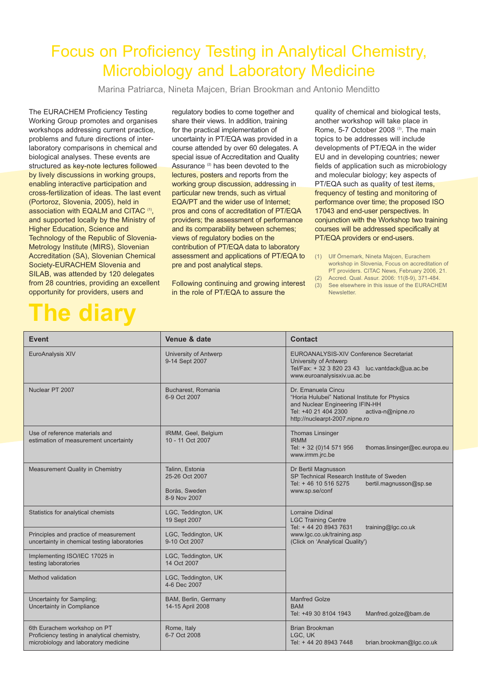## Focus on Proficiency Testing in Analytical Chemistry, Microbiology and Laboratory Medicine

Marina Patriarca, Nineta Majcen, Brian Brookman and Antonio Menditto

The EURACHEM Proficiency Testing Working Group promotes and organises workshops addressing current practice, problems and future directions of interlaboratory comparisons in chemical and biological analyses. These events are structured as key-note lectures followed by lively discussions in working groups, enabling interactive participation and cross-fertilization of ideas. The last event (Portoroz, Slovenia, 2005), held in association with EQALM and CITAC **(1)**, and supported locally by the Ministry of Higher Education, Science and Technology of the Republic of Slovenia-Metrology Institute (MIRS), Slovenian Accreditation (SA), Slovenian Chemical Society-EURACHEM Slovenia and SILAB, was attended by 120 delegates from 28 countries, providing an excellent opportunity for providers, users and

## **The diary**

regulatory bodies to come together and share their views. In addition, training for the practical implementation of uncertainty in PT/EQA was provided in a course attended by over 60 delegates. A special issue of Accreditation and Quality Assurance **(2)** has been devoted to the lectures, posters and reports from the working group discussion, addressing in particular new trends, such as virtual EQA/PT and the wider use of Internet; pros and cons of accreditation of PT/EQA providers; the assessment of performance and its comparability between schemes; views of regulatory bodies on the contribution of PT/EQA data to laboratory assessment and applications of PT/EQA to pre and post analytical steps.

Following continuing and growing interest in the role of PT/EQA to assure the

quality of chemical and biological tests, another workshop will take place in Rome, 5-7 October 2008 **(3)**. The main topics to be addresses will include developments of PT/EQA in the wider EU and in developing countries; newer fields of application such as microbiology and molecular biology; key aspects of PT/EQA such as quality of test items, frequency of testing and monitoring of performance over time; the proposed ISO 17043 and end-user perspectives. In conjunction with the Workshop two training courses will be addressed specifically at PT/EQA providers or end-users.

- (1) Ulf Örnemark, Nineta Majcen, Eurachem workshop in Slovenia, Focus on accreditation of PT providers. CITAC News, February 2006, 21. (2) Accred. Qual. Assur. 2006: 11(8-9), 371-484.
- (3) See elsewhere in this issue of the EURACHEM **Newsletter**

| <b>Event</b>                                                                                                        | Venue & date                                                       | <b>Contact</b>                                                                                                                                                                         |  |
|---------------------------------------------------------------------------------------------------------------------|--------------------------------------------------------------------|----------------------------------------------------------------------------------------------------------------------------------------------------------------------------------------|--|
| EuroAnalysis XIV                                                                                                    | University of Antwerp<br>9-14 Sept 2007                            | EUROANALYSIS-XIV Conference Secretariat<br>University of Antwerp<br>Tel/Fax: + 32 3 820 23 43 luc.vantdack@ua.ac.be<br>www.euroanalysisxiv.ua.ac.be                                    |  |
| Nuclear PT 2007                                                                                                     | Bucharest, Romania<br>6-9 Oct 2007                                 | Dr. Emanuela Cincu<br>"Horia Hulubei" National Institute for Physics<br>and Nuclear Engineering IFIN-HH<br>Tel: +40 21 404 2300<br>activa-n@nipne.ro<br>http://nuclearpt-2007.nipne.ro |  |
| Use of reference materials and<br>estimation of measurement uncertainty                                             | IRMM, Geel, Belgium<br>10 - 11 Oct 2007                            | Thomas Linsinger<br><b>IRMM</b><br>Tel: + 32 (0)14 571 956<br>thomas.linsinger@ec.europa.eu<br>www.irmm.jrc.be                                                                         |  |
| Measurement Quality in Chemistry                                                                                    | Talinn, Estonia<br>25-26 Oct 2007<br>Borås, Sweden<br>8-9 Nov 2007 | Dr Bertil Magnusson<br>SP Technical Research Institute of Sweden<br>Tel: +46 10 516 5275<br>bertil.magnusson@sp.se<br>www.sp.se/conf                                                   |  |
| Statistics for analytical chemists                                                                                  | LGC, Teddington, UK<br>19 Sept 2007                                | <b>Lorraine Didinal</b><br><b>LGC Training Centre</b><br>Tel: + 44 20 8943 7631<br>training@lgc.co.uk<br>www.lqc.co.uk/training.asp<br>(Click on 'Analytical Quality')                 |  |
| Principles and practice of measurement<br>uncertainty in chemical testing laboratories                              | LGC, Teddington, UK<br>9-10 Oct 2007                               |                                                                                                                                                                                        |  |
| Implementing ISO/IEC 17025 in<br>testing laboratories                                                               | LGC, Teddington, UK<br>14 Oct 2007                                 |                                                                                                                                                                                        |  |
| Method validation                                                                                                   | LGC, Teddington, UK<br>4-6 Dec 2007                                |                                                                                                                                                                                        |  |
| Uncertainty for Sampling;<br>Uncertainty in Compliance                                                              | BAM, Berlin, Germany<br>14-15 April 2008                           | <b>Manfred Golze</b><br><b>BAM</b><br>Tel: +49 30 8104 1943<br>Manfred.golze@bam.de                                                                                                    |  |
| 6th Eurachem workshop on PT<br>Proficiency testing in analytical chemistry,<br>microbiology and laboratory medicine | Rome, Italy<br>6-7 Oct 2008                                        | Brian Brookman<br>LGC. UK<br>Tel: + 44 20 8943 7448<br>brian.brookman@lgc.co.uk                                                                                                        |  |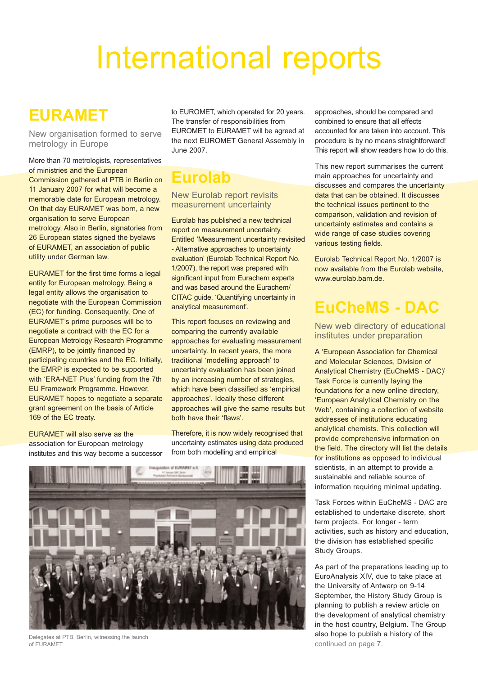## International reports

## **EURAMET**

New organisation formed to serve metrology in Europe

More than 70 metrologists, representatives of ministries and the European Commission gathered at PTB in Berlin on 11 January 2007 for what will become a memorable date for European metrology. On that day EURAMET was born, a new organisation to serve European metrology. Also in Berlin, signatories from 26 European states signed the byelaws of EURAMET, an association of public utility under German law.

EURAMET for the first time forms a legal entity for European metrology. Being a legal entity allows the organisation to negotiate with the European Commission (EC) for funding. Consequently, One of EURAMET's prime purposes will be to negotiate a contract with the EC for a European Metrology Research Programme (EMRP), to be jointly financed by participating countries and the EC. Initially, the EMRP is expected to be supported with 'ERA-NET Plus' funding from the 7th EU Framework Programme. However, EURAMET hopes to negotiate a separate grant agreement on the basis of Article 169 of the EC treaty.

EURAMET will also serve as the association for European metrology institutes and this way become a successor to EUROMET, which operated for 20 years. The transfer of responsibilities from EUROMET to EURAMET will be agreed at the next EUROMET General Assembly in June 2007.

## **Eurolab**

### New Eurolab report revisits measurement uncertainty

Eurolab has published a new technical report on measurement uncertainty. Entitled 'Measurement uncertainty revisited - Alternative approaches to uncertainty evaluation' (Eurolab Technical Report No. 1/2007), the report was prepared with significant input from Eurachem experts and was based around the Eurachem/ CITAC guide, 'Quantifying uncertainty in analytical measurement'.

This report focuses on reviewing and comparing the currently available approaches for evaluating measurement uncertainty. In recent years, the more traditional 'modelling approach' to uncertainty evaluation has been joined by an increasing number of strategies, which have been classified as 'empirical approaches'. Ideally these different approaches will give the same results but both have their 'flaws'.

Therefore, it is now widely recognised that uncertainty estimates using data produced from both modelling and empirical



Delegates at PTB, Berlin, witnessing the launch of EURAMET.

approaches, should be compared and combined to ensure that all effects accounted for are taken into account. This procedure is by no means straightforward! This report will show readers how to do this.

This new report summarises the current main approaches for uncertainty and discusses and compares the uncertainty data that can be obtained. It discusses the technical issues pertinent to the comparison, validation and revision of uncertainty estimates and contains a wide range of case studies covering various testing fields.

Eurolab Technical Report No. 1/2007 is now available from the Eurolab website, www.eurolab.bam.de.

## **EuCheMS - DAC**

New web directory of educational institutes under preparation

A 'European Association for Chemical and Molecular Sciences, Division of Analytical Chemistry (EuCheMS - DAC)' Task Force is currently laying the foundations for a new online directory, 'European Analytical Chemistry on the Web', containing a collection of website addresses of institutions educating analytical chemists. This collection will provide comprehensive information on the field. The directory will list the details for institutions as opposed to individual scientists, in an attempt to provide a sustainable and reliable source of information requiring minimal updating.

Task Forces within EuCheMS - DAC are established to undertake discrete, short term projects. For longer - term activities, such as history and education, the division has established specific Study Groups.

As part of the preparations leading up to EuroAnalysis XIV, due to take place at the University of Antwerp on 9-14 September, the History Study Group is planning to publish a review article on the development of analytical chemistry in the host country, Belgium. The Group also hope to publish a history of the continued on page 7.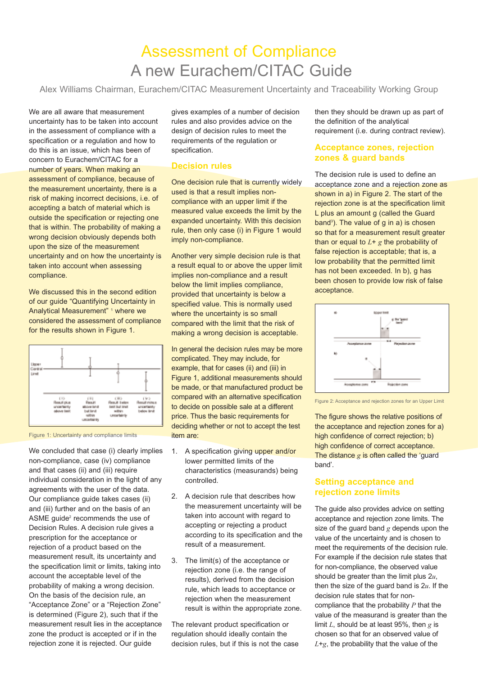## Assessment of Compliance A new Eurachem/CITAC Guide

Alex Williams Chairman, Eurachem/CITAC Measurement Uncertainty and Traceability Working Group

We are all aware that measurement uncertainty has to be taken into account in the assessment of compliance with a specification or a regulation and how to do this is an issue, which has been of concern to Eurachem/CITAC for a number of years. When making an assessment of compliance, because of the measurement uncertainty, there is a risk of making incorrect decisions, i.e. of accepting a batch of material which is outside the specification or rejecting one that is within. The probability of making a wrong decision obviously depends both upon the size of the measurement uncertainty and on how the uncertainty is taken into account when assessing compliance.

We discussed this in the second edition of our guide "Quantifying Uncertainty in Analytical Measurement"<sup>1</sup> where we considered the assessment of compliance for the results shown in Figure 1.



Figure 1: Uncertainty and compliance limits

We concluded that case (i) clearly implies non-compliance, case (iv) compliance and that cases (ii) and (iii) require individual consideration in the light of any agreements with the user of the data. Our compliance guide takes cases (ii) and (iii) further and on the basis of an ASME guide<sup>2</sup> recommends the use of Decision Rules. A decision rule gives a prescription for the acceptance or rejection of a product based on the measurement result, its uncertainty and the specification limit or limits, taking into account the acceptable level of the probability of making a wrong decision. On the basis of the decision rule, an "Acceptance Zone" or a "Rejection Zone" is determined (Figure 2), such that if the measurement result lies in the acceptance zone the product is accepted or if in the rejection zone it is rejected. Our guide

gives examples of a number of decision rules and also provides advice on the design of decision rules to meet the requirements of the regulation or specification.

### **Decision rules**

One decision rule that is currently widely used is that a result implies noncompliance with an upper limit if the measured value exceeds the limit by the expanded uncertainty. With this decision rule, then only case (i) in Figure 1 would imply non-compliance.

Another very simple decision rule is that a result equal to or above the upper limit implies non-compliance and a result below the limit implies compliance, provided that uncertainty is below a specified value. This is normally used where the uncertainty is so small compared with the limit that the risk of making a wrong decision is acceptable.

In general the decision rules may be more complicated. They may include, for example, that for cases (ii) and (iii) in Figure 1, additional measurements should be made, or that manufactured product be compared with an alternative specification to decide on possible sale at a different price. Thus the basic requirements for deciding whether or not to accept the test item are:

- 1. A specification giving upper and/or lower permitted limits of the characteristics (measurands) being controlled.
- 2. A decision rule that describes how the measurement uncertainty will be taken into account with regard to accepting or rejecting a product according to its specification and the result of a measurement.
- 3. The limit(s) of the acceptance or rejection zone (i.e. the range of results), derived from the decision rule, which leads to acceptance or rejection when the measurement result is within the appropriate zone.

The relevant product specification or regulation should ideally contain the decision rules, but if this is not the case then they should be drawn up as part of the definition of the analytical requirement (i.e. during contract review).

### **Acceptance zones, rejection zones & guard bands**

The decision rule is used to define an acceptance zone and a rejection zone as shown in a) in Figure 2. The start of the rejection zone is at the specification limit L plus an amount g (called the Guard band<sup>3</sup>). The value of g in a) is chosen so that for a measurement result greater than or equal to  $L + g$  the probability of false rejection is acceptable; that is, a low probability that the permitted limit has not been exceeded. In b), g has been chosen to provide low risk of false acceptance.



Figure 2: Acceptance and rejection zones for an Upper Limit

The figure shows the relative positions of the acceptance and rejection zones for a) high confidence of correct rejection; b) high confidence of correct acceptance. The distance *g* is often called the 'guard' band'.

### **Setting acceptance and rejection zone limits**

The guide also provides advice on setting acceptance and rejection zone limits. The size of the guard band *g* depends upon the value of the uncertainty and is chosen to meet the requirements of the decision rule. For example if the decision rule states that for non-compliance, the observed value should be greater than the limit plus 2*u*, then the size of the guard band is 2*u*. If the decision rule states that for noncompliance that the probability *P* that the value of the measurand is greater than the limit *L*, should be at least 95%, then *g* is chosen so that for an observed value of *L*+*g*, the probability that the value of the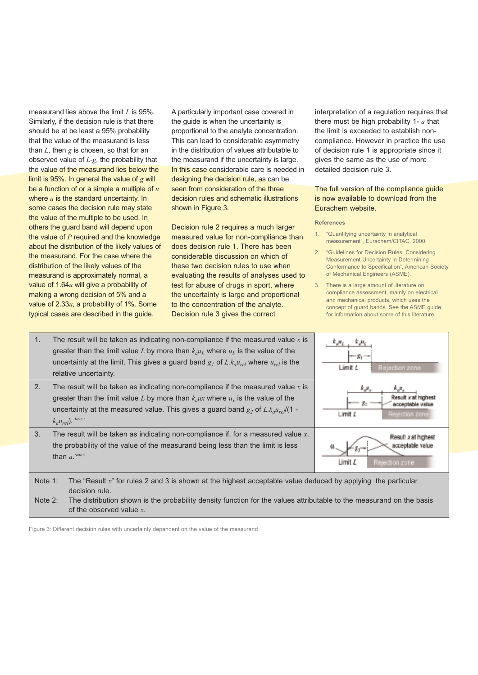measurand lies above the limit *L* is 95%. Similarly, if the decision rule is that there should be at be least a 95% probability that the value of the measurand is less than *L*, then *g* is chosen, so that for an observed value of *L*-*g*, the probability that the value of the measurand lies below the limit is 95%. In general the value of *g* will be a function of or a simple a multiple of *u* where *u* is the standard uncertainty. In some cases the decision rule may state the value of the multiple to be used. In others the guard band will depend upon the value of *P* required and the knowledge about the distribution of the likely values of the measurand. For the case where the distribution of the likely values of the measurand is approximately normal, a value of 1.64*u* will give a probability of making a wrong decision of 5% and a value of 2.33*u*, a probability of 1%. Some typical cases are described in the guide.

A particularly important case covered in the guide is when the uncertainty is proportional to the analyte concentration. This can lead to considerable asymmetry in the distribution of values attributable to the measurand if the uncertainty is large. In this case considerable care is needed in designing the decision rule, as can be seen from consideration of the three decision rules and schematic illustrations shown in Figure 3.

Decision rule 2 requires a much larger measured value for non-compliance than does decision rule 1. There has been considerable discussion on which of these two decision rules to use when evaluating the results of analyses used to test for abuse of drugs in sport, where the uncertainty is large and proportional to the concentration of the analyte. Decision rule 3 gives the correct

interpretation of a regulation requires that there must be high probability 1- *a* that the limit is exceeded to establish noncompliance. However in practice the use of decision rule 1 is appropriate since it gives the same as the use of more detailed decision rule 3.

### The full version of the compliance guide is now available to download from the Eurachem website.

#### **References**

- 1. "Quantifying uncertainty in analytical measurement", Eurachem/CITAC, 2000.
- 2. "Guidelines for Decision Rules: Considering Measurement Uncertainty in Determining Conformance to Specification", American Society of Mechanical Engineers (ASME).
- 3. There is a large amount of literature on compliance assessment, mainly on electrical and mechanical products, which uses the concept of guard bands. See the ASME guide for information about some of this literature.

| 1.                                                                                                                                              | The result will be taken as indicating non-compliance if the measured value x is<br>greater than the limit value L by more than $k_a u_L$ where $u_L$ is the value of the<br>uncertainty at the limit. This gives a guard band $g_1$ of L. $k_a u_{rel}$ where $u_{rel}$ is the<br>relative uncertainty. | Limit <i>L</i><br>Rejection zone                                                                 |
|-------------------------------------------------------------------------------------------------------------------------------------------------|----------------------------------------------------------------------------------------------------------------------------------------------------------------------------------------------------------------------------------------------------------------------------------------------------------|--------------------------------------------------------------------------------------------------|
| 2.                                                                                                                                              | The result will be taken as indicating non-compliance if the measured value $x$ is<br>greater than the limit value L by more than $k_aux$ where $u_x$ is the value of the<br>uncertainty at the measured value. This gives a guard band $g_2$ of L. $k_d u_{rel}$ (1 -<br>$k_a u_{rel}$ ). Note 1        | k ji,<br>ñл.<br>Result x at highest<br>點<br>acceptable value<br>Limit <i>L</i><br>Rejection zone |
| 3.                                                                                                                                              | The result will be taken as indicating non-compliance if, for a measured value $x$ ,<br>the probability of the value of the measurand being less than the limit is less<br>than $a$ . Note 2                                                                                                             | Result xat highest<br>acceptable<br>Limit <i>L</i><br>Rejection zone                             |
| Note $1$ :<br>The "Result $x$ " for rules 2 and 3 is shown at the highest acceptable value deduced by applying the particular<br>decision rule. |                                                                                                                                                                                                                                                                                                          |                                                                                                  |

Note 2: The distribution shown is the probability density function for the values attributable to the measurand on the basis of the observed value *x*.

Figure 3: Different decision rules with uncertainty dependent on the value of the measurand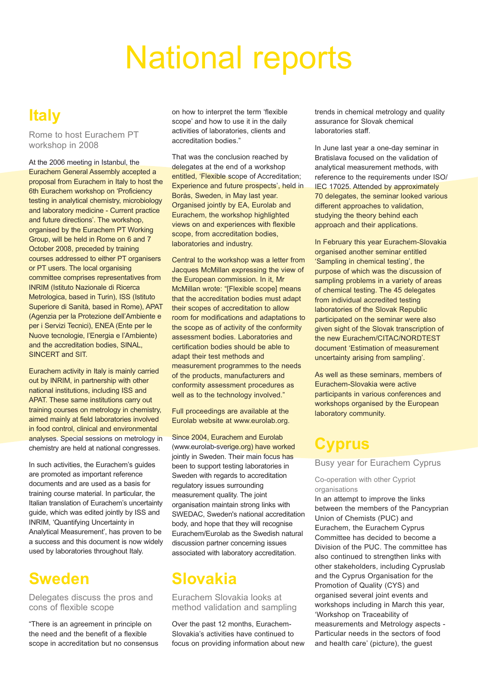## National reports

## **Italy**

Rome to host Eurachem PT workshop in 2008

At the 2006 meeting in Istanbul, the Eurachem General Assembly accepted a proposal from Eurachem in Italy to host the 6th Eurachem workshop on 'Proficiency testing in analytical chemistry, microbiology and laboratory medicine - Current practice and future directions'. The workshop, organised by the Eurachem PT Working Group, will be held in Rome on 6 and 7 October 2008, preceded by training courses addressed to either PT organisers or PT users. The local organising committee comprises representatives from INRIM (Istituto Nazionale di Ricerca Metrologica, based in Turin), ISS (Istituto Superiore di Sanità, based in Rome), APAT (Agenzia per la Protezione dell'Ambiente e per i Servizi Tecnici), ENEA (Ente per le Nuove tecnologie, l'Energia e l'Ambiente) and the accreditation bodies, SINAL, SINCERT and SIT.

Eurachem activity in Italy is mainly carried out by INRIM, in partnership with other national institutions, including ISS and APAT. These same institutions carry out training courses on metrology in chemistry, aimed mainly at field laboratories involved in food control, clinical and environmental analyses. Special sessions on metrology in chemistry are held at national congresses.

In such activities, the Eurachem's guides are promoted as important reference documents and are used as a basis for training course material. In particular, the Italian translation of Eurachem's uncertainty guide, which was edited jointly by ISS and INRIM, 'Quantifying Uncertainty in Analytical Measurement', has proven to be a success and this document is now widely used by laboratories throughout Italy.

## **Sweden**

Delegates discuss the pros and cons of flexible scope

"There is an agreement in principle on the need and the benefit of a flexible scope in accreditation but no consensus on how to interpret the term 'flexible scope' and how to use it in the daily activities of laboratories, clients and accreditation bodies."

That was the conclusion reached by delegates at the end of a workshop entitled, 'Flexible scope of Accreditation; Experience and future prospects', held in Borås, Sweden, in May last year. Organised jointly by EA, Eurolab and Eurachem, the workshop highlighted views on and experiences with flexible scope, from accreditation bodies, laboratories and industry.

Central to the workshop was a letter from Jacques McMillan expressing the view of the European commission. In it, Mr McMillan wrote: "[Flexible scope] means that the accreditation bodies must adapt their scopes of accreditation to allow room for modifications and adaptations to the scope as of activity of the conformity assessment bodies. Laboratories and certification bodies should be able to adapt their test methods and measurement programmes to the needs of the products, manufacturers and conformity assessment procedures as well as to the technology involved."

Full proceedings are available at the Eurolab website at www.eurolab.org.

Since 2004, Eurachem and Eurolab (www.eurolab-sverige.org) have worked jointly in Sweden. Their main focus has been to support testing laboratories in Sweden with regards to accreditation regulatory issues surrounding measurement quality. The joint organisation maintain strong links with SWEDAC, Sweden's national accreditation body, and hope that they will recognise Eurachem/Eurolab as the Swedish natural discussion partner concerning issues associated with laboratory accreditation.

## **Slovakia**

### Eurachem Slovakia looks at method validation and sampling

Over the past 12 months, Eurachem-Slovakia's activities have continued to focus on providing information about new trends in chemical metrology and quality assurance for Slovak chemical laboratories staff.

In June last year a one-day seminar in Bratislava focused on the validation of analytical measurement methods, with reference to the requirements under ISO/ **IEC 17025. Attended by approximately** 70 delegates, the seminar looked various different approaches to validation, studying the theory behind each approach and their applications.

In February this year Eurachem-Slovakia organised another seminar entitled 'Sampling in chemical testing', the purpose of which was the discussion of sampling problems in a variety of areas of chemical testing. The 45 delegates from individual accredited testing laboratories of the Slovak Republic participated on the seminar were also given sight of the Slovak transcription of the new Eurachem/CITAC/NORDTEST document 'Estimation of measurement uncertainty arising from sampling'.

As well as these seminars, members of Eurachem-Slovakia were active participants in various conferences and workshops organised by the European laboratory community.

### **Cyprus**

Busy year for Eurachem Cyprus

### Co-operation with other Cypriot organisations

In an attempt to improve the links between the members of the Pancyprian Union of Chemists (PUC) and Eurachem, the Eurachem Cyprus Committee has decided to become a Division of the PUC. The committee has also continued to strengthen links with other stakeholders, including Cypruslab and the Cyprus Organisation for the Promotion of Quality (CYS) and organised several joint events and workshops including in March this year, 'Workshop on Traceability of measurements and Metrology aspects - Particular needs in the sectors of food and health care' (picture), the guest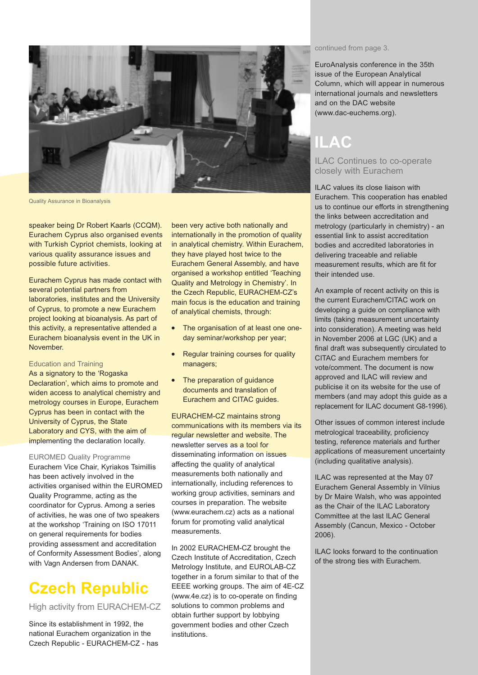

Quality Assurance in Bioanalysis

speaker being Dr Robert Kaarls (CCQM). Eurachem Cyprus also organised events with Turkish Cypriot chemists, looking at various quality assurance issues and possible future activities.

Eurachem Cyprus has made contact with several potential partners from laboratories, institutes and the University of Cyprus, to promote a new Eurachem project looking at bioanalysis. As part of this activity, a representative attended a Eurachem bioanalysis event in the UK in November.

#### Education and Training

As a signatory to the 'Rogaska Declaration', which aims to promote and widen access to analytical chemistry and metrology courses in Europe, Eurachem Cyprus has been in contact with the University of Cyprus, the State Laboratory and CYS, with the aim of implementing the declaration locally.

EUROMED Quality Programme Eurachem Vice Chair, Kyriakos Tsimillis has been actively involved in the activities organised within the EUROMED Quality Programme, acting as the coordinator for Cyprus. Among a series of activities, he was one of two speakers at the workshop 'Training on ISO 17011 on general requirements for bodies providing assessment and accreditation of Conformity Assessment Bodies', along with Vagn Andersen from DANAK.

## **Czech Republic**

High activity from EURACHEM-CZ

Since its establishment in 1992, the national Eurachem organization in the Czech Republic - EURACHEM-CZ - has

been very active both nationally and internationally in the promotion of quality in analytical chemistry. Within Eurachem, they have played host twice to the Eurachem General Assembly, and have organised a workshop entitled 'Teaching Quality and Metrology in Chemistry'. In the Czech Republic, EURACHEM-CZ's main focus is the education and training of analytical chemists, through:

- **●** The organisation of at least one oneday seminar/workshop per year;
- **Regular training courses for quality** managers;
- **●** The preparation of guidance documents and translation of Eurachem and CITAC guides.

EURACHEM-CZ maintains strong communications with its members via its regular newsletter and website. The newsletter serves as a tool for disseminating information on issues affecting the quality of analytical measurements both nationally and internationally, including references to working group activities, seminars and courses in preparation. The website (www.eurachem.cz) acts as a national forum for promoting valid analytical measurements.

In 2002 EURACHEM-CZ brought the Czech Institute of Accreditation, Czech Metrology Institute, and EUROLAB-CZ together in a forum similar to that of the EEEE working groups. The aim of 4E-CZ (www.4e.cz) is to co-operate on finding solutions to common problems and obtain further support by lobbying government bodies and other Czech institutions.

continued from page 3.

EuroAnalysis conference in the 35th issue of the European Analytical Column, which will appear in numerous international journals and newsletters and on the DAC website (www.dac-euchems.org).

## **ILAC**

### ILAC Continues to co-operate closely with Eurachem

ILAC values its close liaison with Eurachem. This cooperation has enabled us to continue our efforts in strengthening the links between accreditation and metrology (particularly in chemistry) - an essential link to assist accreditation bodies and accredited laboratories in delivering traceable and reliable measurement results, which are fit for their intended use.

An example of recent activity on this is the current Eurachem/CITAC work on developing a guide on compliance with limits (taking measurement uncertainty into consideration). A meeting was held in November 2006 at LGC (UK) and a final draft was subsequently circulated to CITAC and Eurachem members for vote/comment. The document is now approved and ILAC will review and publicise it on its website for the use of members (and may adopt this guide as a replacement for ILAC document G8-1996).

Other issues of common interest include metrological traceability, proficiency testing, reference materials and further applications of measurement uncertainty (including qualitative analysis).

ILAC was represented at the May 07 Eurachem General Assembly in Vilnius by Dr Maire Walsh, who was appointed as the Chair of the ILAC Laboratory Committee at the last ILAC General Assembly (Cancun, Mexico - October 2006).

ILAC looks forward to the continuation of the strong ties with Eurachem.